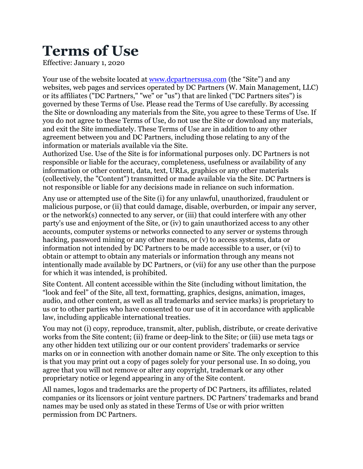## **Terms of Use**

Effective: January 1, 2020

Your use of the website located at [www.dcpartnersusa.com](http://www.dcpartnersusa.com) (the "Site") and any websites, web pages and services operated by DC Partners (W. Main Management, LLC) or its affiliates ("DC Partners," "we" or "us") that are linked ("DC Partners sites") is governed by these Terms of Use. Please read the Terms of Use carefully. By accessing the Site or downloading any materials from the Site, you agree to these Terms of Use. If you do not agree to these Terms of Use, do not use the Site or download any materials, and exit the Site immediately. These Terms of Use are in addition to any other agreement between you and DC Partners, including those relating to any of the information or materials available via the Site.

Authorized Use. Use of the Site is for informational purposes only. DC Partners is not responsible or liable for the accuracy, completeness, usefulness or availability of any information or other content, data, text, URLs, graphics or any other materials (collectively, the "Content") transmitted or made available via the Site. DC Partners is not responsible or liable for any decisions made in reliance on such information.

Any use or attempted use of the Site (i) for any unlawful, unauthorized, fraudulent or malicious purpose, or (ii) that could damage, disable, overburden, or impair any server, or the network(s) connected to any server, or (iii) that could interfere with any other party's use and enjoyment of the Site, or (iv) to gain unauthorized access to any other accounts, computer systems or networks connected to any server or systems through hacking, password mining or any other means, or (v) to access systems, data or information not intended by DC Partners to be made accessible to a user, or (vi) to obtain or attempt to obtain any materials or information through any means not intentionally made available by DC Partners, or (vii) for any use other than the purpose for which it was intended, is prohibited.

Site Content. All content accessible within the Site (including without limitation, the "look and feel" of the Site, all text, formatting, graphics, designs, animation, images, audio, and other content, as well as all trademarks and service marks) is proprietary to us or to other parties who have consented to our use of it in accordance with applicable law, including applicable international treaties.

You may not (i) copy, reproduce, transmit, alter, publish, distribute, or create derivative works from the Site content; (ii) frame or deep-link to the Site; or (iii) use meta tags or any other hidden text utilizing our or our content providers' trademarks or service marks on or in connection with another domain name or Site. The only exception to this is that you may print out a copy of pages solely for your personal use. In so doing, you agree that you will not remove or alter any copyright, trademark or any other proprietary notice or legend appearing in any of the Site content.

All names, logos and trademarks are the property of DC Partners, its affiliates, related companies or its licensors or joint venture partners. DC Partners' trademarks and brand names may be used only as stated in these Terms of Use or with prior written permission from DC Partners.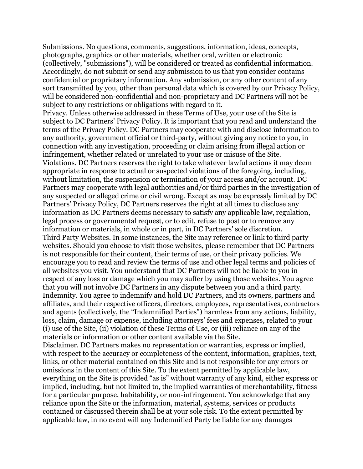Submissions. No questions, comments, suggestions, information, ideas, concepts, photographs, graphics or other materials, whether oral, written or electronic (collectively, "submissions"), will be considered or treated as confidential information. Accordingly, do not submit or send any submission to us that you consider contains confidential or proprietary information. Any submission, or any other content of any sort transmitted by you, other than personal data which is covered by our Privacy Policy, will be considered non-confidential and non-proprietary and DC Partners will not be subject to any restrictions or obligations with regard to it.

Privacy. Unless otherwise addressed in these Terms of Use, your use of the Site is subject to DC Partners' Privacy Policy. It is important that you read and understand the terms of the Privacy Policy. DC Partners may cooperate with and disclose information to any authority, government official or third-party, without giving any notice to you, in connection with any investigation, proceeding or claim arising from illegal action or infringement, whether related or unrelated to your use or misuse of the Site. Violations. DC Partners reserves the right to take whatever lawful actions it may deem appropriate in response to actual or suspected violations of the foregoing, including, without limitation, the suspension or termination of your access and/or account. DC Partners may cooperate with legal authorities and/or third parties in the investigation of any suspected or alleged crime or civil wrong. Except as may be expressly limited by DC Partners' Privacy Policy, DC Partners reserves the right at all times to disclose any information as DC Partners deems necessary to satisfy any applicable law, regulation, legal process or governmental request, or to edit, refuse to post or to remove any information or materials, in whole or in part, in DC Partners' sole discretion. Third Party Websites. In some instances, the Site may reference or link to third party websites. Should you choose to visit those websites, please remember that DC Partners is not responsible for their content, their terms of use, or their privacy policies. We encourage you to read and review the terms of use and other legal terms and policies of all websites you visit. You understand that DC Partners will not be liable to you in respect of any loss or damage which you may suffer by using those websites. You agree that you will not involve DC Partners in any dispute between you and a third party. Indemnity. You agree to indemnify and hold DC Partners, and its owners, partners and affiliates, and their respective officers, directors, employees, representatives, contractors and agents (collectively, the "Indemnified Parties") harmless from any actions, liability, loss, claim, damage or expense, including attorneys' fees and expenses, related to your (i) use of the Site, (ii) violation of these Terms of Use, or (iii) reliance on any of the materials or information or other content available via the Site.

Disclaimer. DC Partners makes no representation or warranties, express or implied, with respect to the accuracy or completeness of the content, information, graphics, text, links, or other material contained on this Site and is not responsible for any errors or omissions in the content of this Site. To the extent permitted by applicable law, everything on the Site is provided "as is" without warranty of any kind, either express or implied, including, but not limited to, the implied warranties of merchantability, fitness for a particular purpose, habitability, or non-infringement. You acknowledge that any reliance upon the Site or the information, material, systems, services or products contained or discussed therein shall be at your sole risk. To the extent permitted by applicable law, in no event will any Indemnified Party be liable for any damages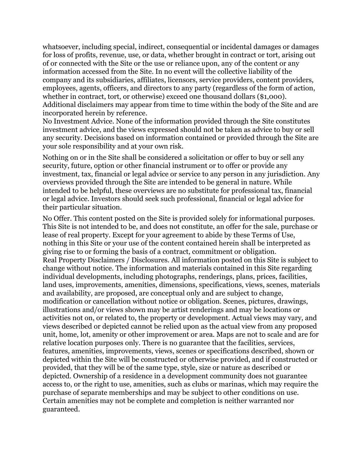whatsoever, including special, indirect, consequential or incidental damages or damages for loss of profits, revenue, use, or data, whether brought in contract or tort, arising out of or connected with the Site or the use or reliance upon, any of the content or any information accessed from the Site. In no event will the collective liability of the company and its subsidiaries, affiliates, licensors, service providers, content providers, employees, agents, officers, and directors to any party (regardless of the form of action, whether in contract, tort, or otherwise) exceed one thousand dollars (\$1,000). Additional disclaimers may appear from time to time within the body of the Site and are incorporated herein by reference.

No Investment Advice. None of the information provided through the Site constitutes investment advice, and the views expressed should not be taken as advice to buy or sell any security. Decisions based on information contained or provided through the Site are your sole responsibility and at your own risk.

Nothing on or in the Site shall be considered a solicitation or offer to buy or sell any security, future, option or other financial instrument or to offer or provide any investment, tax, financial or legal advice or service to any person in any jurisdiction. Any overviews provided through the Site are intended to be general in nature. While intended to be helpful, these overviews are no substitute for professional tax, financial or legal advice. Investors should seek such professional, financial or legal advice for their particular situation.

No Offer. This content posted on the Site is provided solely for informational purposes. This Site is not intended to be, and does not constitute, an offer for the sale, purchase or lease of real property. Except for your agreement to abide by these Terms of Use, nothing in this Site or your use of the content contained herein shall be interpreted as giving rise to or forming the basis of a contract, commitment or obligation. Real Property Disclaimers / Disclosures. All information posted on this Site is subject to change without notice. The information and materials contained in this Site regarding individual developments, including photographs, renderings, plans, prices, facilities, land uses, improvements, amenities, dimensions, specifications, views, scenes, materials and availability, are proposed, are conceptual only and are subject to change, modification or cancellation without notice or obligation. Scenes, pictures, drawings, illustrations and/or views shown may be artist renderings and may be locations or activities not on, or related to, the property or development. Actual views may vary, and views described or depicted cannot be relied upon as the actual view from any proposed unit, home, lot, amenity or other improvement or area. Maps are not to scale and are for relative location purposes only. There is no guarantee that the facilities, services, features, amenities, improvements, views, scenes or specifications described, shown or depicted within the Site will be constructed or otherwise provided, and if constructed or provided, that they will be of the same type, style, size or nature as described or depicted. Ownership of a residence in a development community does not guarantee access to, or the right to use, amenities, such as clubs or marinas, which may require the purchase of separate memberships and may be subject to other conditions on use. Certain amenities may not be complete and completion is neither warranted nor guaranteed.